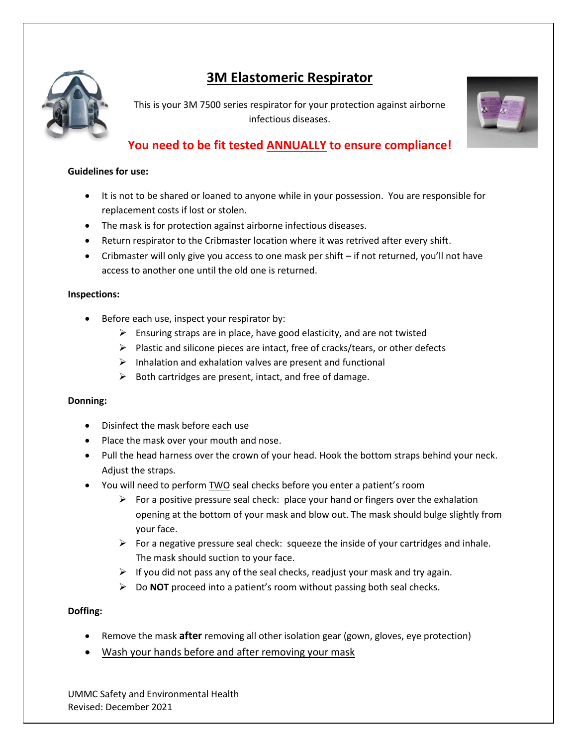

# **3M Elastomeric Respirator**

This is your 3M 7500 series respirator for your protection against airborne infectious diseases.



# **You need to be fit tested ANNUALLY to ensure compliance!**

#### **Guidelines for use:**

- It is not to be shared or loaned to anyone while in your possession. You are responsible for replacement costs if lost or stolen.
- The mask is for protection against airborne infectious diseases.
- Return respirator to the Cribmaster location where it was retrived after every shift.
- Cribmaster will only give you access to one mask per shift if not returned, you'll not have access to another one until the old one is returned.

#### **Inspections:**

- Before each use, inspect your respirator by:
	- $\triangleright$  Ensuring straps are in place, have good elasticity, and are not twisted
	- $\triangleright$  Plastic and silicone pieces are intact, free of cracks/tears, or other defects
	- $\triangleright$  Inhalation and exhalation valves are present and functional
	- $\triangleright$  Both cartridges are present, intact, and free of damage.

## **Donning:**

- Disinfect the mask before each use
- Place the mask over your mouth and nose.
- Pull the head harness over the crown of your head. Hook the bottom straps behind your neck. Adjust the straps.
- You will need to perform TWO seal checks before you enter a patient's room
	- For a positive pressure seal check: place your hand or fingers over the exhalation opening at the bottom of your mask and blow out. The mask should bulge slightly from your face.
	- $\triangleright$  For a negative pressure seal check: squeeze the inside of your cartridges and inhale. The mask should suction to your face.
	- $\triangleright$  If you did not pass any of the seal checks, readjust your mask and try again.
	- Do **NOT** proceed into a patient's room without passing both seal checks.

## **Doffing:**

- Remove the mask **after** removing all other isolation gear (gown, gloves, eye protection)
- Wash your hands before and after removing your mask

UMMC Safety and Environmental Health Revised: December 2021